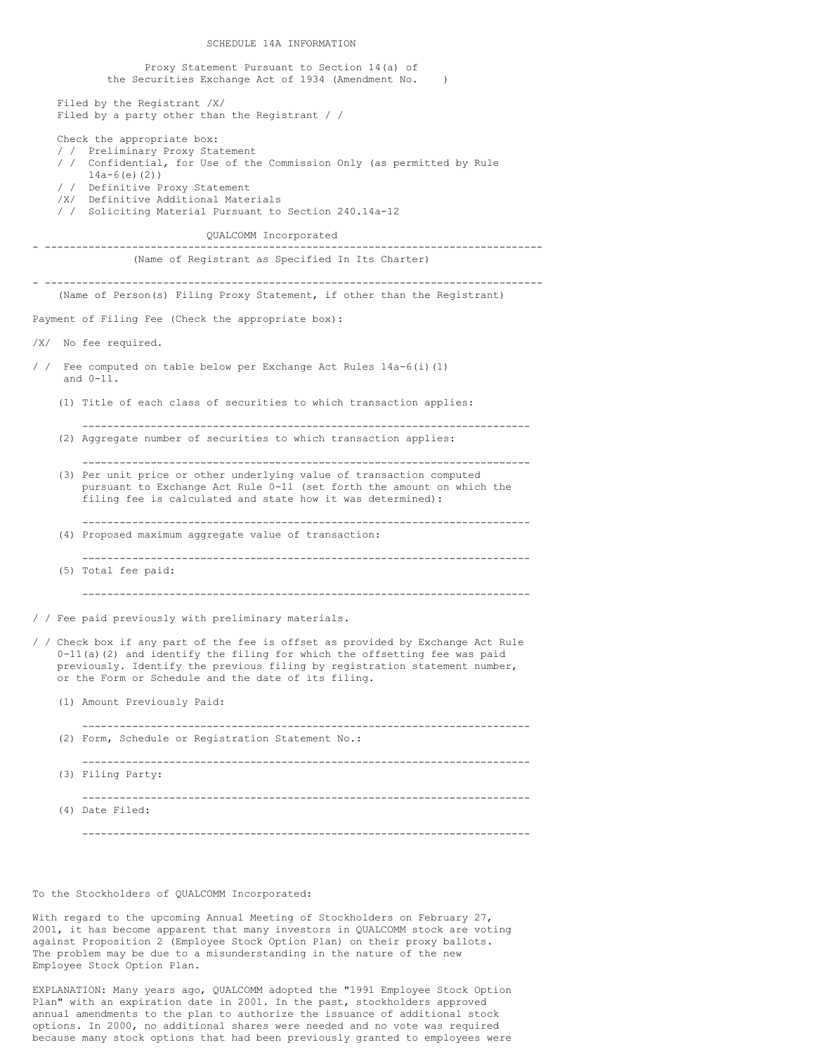SCHEDULE 14A INFORMATION Proxy Statement Pursuant to Section 14(a) of the Securities Exchange Act of 1934 (Amendment No. ) Filed by the Registrant /X/ Filed by a party other than the Registrant / / Check the appropriate box: / / Preliminary Proxy Statement / / Confidential, for Use of the Commission Only (as permitted by Rule 14a-6(e)(2)) / / Definitive Proxy Statement /X/ Definitive Additional Materials / / Soliciting Material Pursuant to Section 240.14a-12 QUALCOMM Incorporated - -------------------------------------------------------------------------------- (Name of Registrant as Specified In Its Charter) - -------------------------------------------------------------------------------- (Name of Person(s) Filing Proxy Statement, if other than the Registrant) Payment of Filing Fee (Check the appropriate box): /X/ No fee required. / / Fee computed on table below per Exchange Act Rules 14a-6(i)(1) and 0-11. (1) Title of each class of securities to which transaction applies: ------------------------------------------------------------------------ (2) Aggregate number of securities to which transaction applies: ------------------------------------------------------------------------ (3) Per unit price or other underlying value of transaction computed pursuant to Exchange Act Rule 0-11 (set forth the amount on which the filing fee is calculated and state how it was determined): ------------------------------------------------------------------------ (4) Proposed maximum aggregate value of transaction: ------------------------------------------------------------------------ (5) Total fee paid: ------------------------------------------------------------------------ / / Fee paid previously with preliminary materials. / / Check box if any part of the fee is offset as provided by Exchange Act Rule 0-11(a)(2) and identify the filing for which the offsetting fee was paid previously. Identify the previous filing by registration statement number, or the Form or Schedule and the date of its filing. (1) Amount Previously Paid: ------------------------------------------------------------------------ (2) Form, Schedule or Registration Statement No.: ------------------------------------------------------------------------ (3) Filing Party: ------------------------------------------------------------------------ (4) Date Filed: ------------------------------------------------------------------------

## To the Stockholders of QUALCOMM Incorporated:

With regard to the upcoming Annual Meeting of Stockholders on February 27, 2001, it has become apparent that many investors in QUALCOMM stock are voting against Proposition 2 (Employee Stock Option Plan) on their proxy ballots. The problem may be due to a misunderstanding in the nature of the new Employee Stock Option Plan.

EXPLANATION: Many years ago, QUALCOMM adopted the "1991 Employee Stock Option Plan" with an expiration date in 2001. In the past, stockholders approved annual amendments to the plan to authorize the issuance of additional stock options. In 2000, no additional shares were needed and no vote was required because many stock options that had been previously granted to employees were